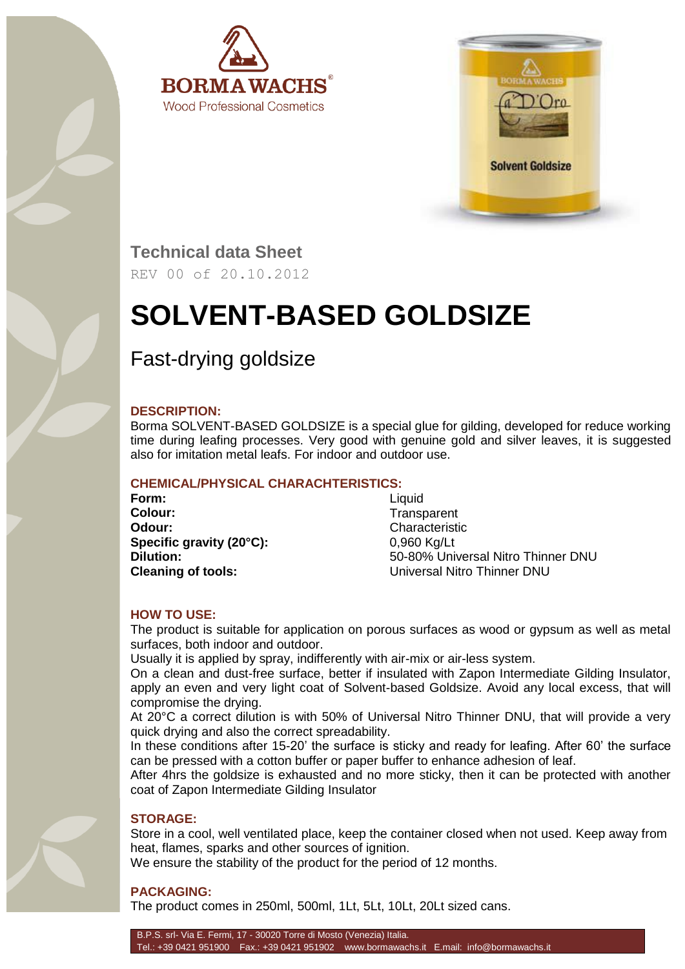



**Technical data Sheet**

REV 00 of 20.10.2012

# **SOLVENT-BASED GOLDSIZE**

## Fast-drying goldsize

#### **DESCRIPTION:**

Borma SOLVENT-BASED GOLDSIZE is a special glue for gilding, developed for reduce working time during leafing processes. Very good with genuine gold and silver leaves, it is suggested also for imitation metal leafs. For indoor and outdoor use.

#### **CHEMICAL/PHYSICAL CHARACHTERISTICS:**

**Form:** Liquid **Colour:** Transparent **Odour:** Characteristic **Specific gravity (20°C):** 0,960 Kg/Lt

**Dilution:** 50-80% Universal Nitro Thinner DNU **Cleaning of tools:** Universal Nitro Thinner DNU

#### **HOW TO USE:**

The product is suitable for application on porous surfaces as wood or gypsum as well as metal surfaces, both indoor and outdoor.

Usually it is applied by spray, indifferently with air-mix or air-less system.

On a clean and dust-free surface, better if insulated with Zapon Intermediate Gilding Insulator, apply an even and very light coat of Solvent-based Goldsize. Avoid any local excess, that will compromise the drying.

At 20°C a correct dilution is with 50% of Universal Nitro Thinner DNU, that will provide a very quick drying and also the correct spreadability.

In these conditions after 15-20' the surface is sticky and ready for leafing. After 60' the surface can be pressed with a cotton buffer or paper buffer to enhance adhesion of leaf.

After 4hrs the goldsize is exhausted and no more sticky, then it can be protected with another coat of Zapon Intermediate Gilding Insulator

#### **STORAGE:**

Store in a cool, well ventilated place, keep the container closed when not used. Keep away from heat, flames, sparks and other sources of ignition.

We ensure the stability of the product for the period of 12 months.

### **PACKAGING:**

The product comes in 250ml, 500ml, 1Lt, 5Lt, 10Lt, 20Lt sized cans.